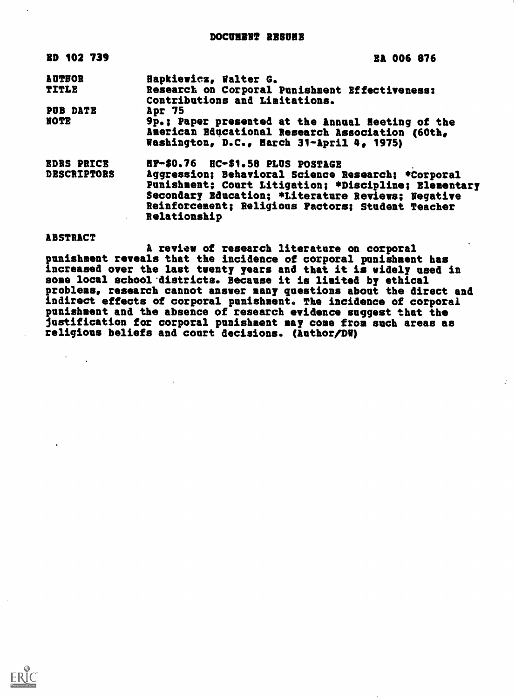| <b>EA 006 876</b>                                                                                                                                                                                                                      |
|----------------------------------------------------------------------------------------------------------------------------------------------------------------------------------------------------------------------------------------|
| Hapkiewicz, Walter G.                                                                                                                                                                                                                  |
| Research on Corporal Punishment Effectiveness:<br>Contributions and Limitations.                                                                                                                                                       |
| Apr 75                                                                                                                                                                                                                                 |
| 9p.: Paper presented at the Annual Heeting of the<br>American Educational Research Association (60th,<br>Washington, D.C., Harch 31-April 4, 1975)                                                                                     |
| HP-\$0.76 HC-\$1.58 PLUS POSTAGE                                                                                                                                                                                                       |
| Aggression; Behavioral Science Research; *Corporal<br>Punishment; Court Litigation; *Discipline; Elementary<br>Secondary Education; *Literature Reviews; Negative<br>Reinforcement; Religious Factors; Student Teacher<br>Relationship |
|                                                                                                                                                                                                                                        |

## ABSTRACT

 $\mathcal{F}^{\text{max}}_{\text{max}}$ 

A review of research literature on corporal punishment reveals that the incidence of corporal punishment has increased over the last twenty years and that it is widely used in some local school districts. Because it is limited by ethical problems, research cannot answer many questions about the direct and indirect effects of corporal punishment. The incidence of corporal punishment and the absence of research evidence suggest that the justification for corporal punishment may come from such areas as religious beliefs and court decisions. (Author/DM)

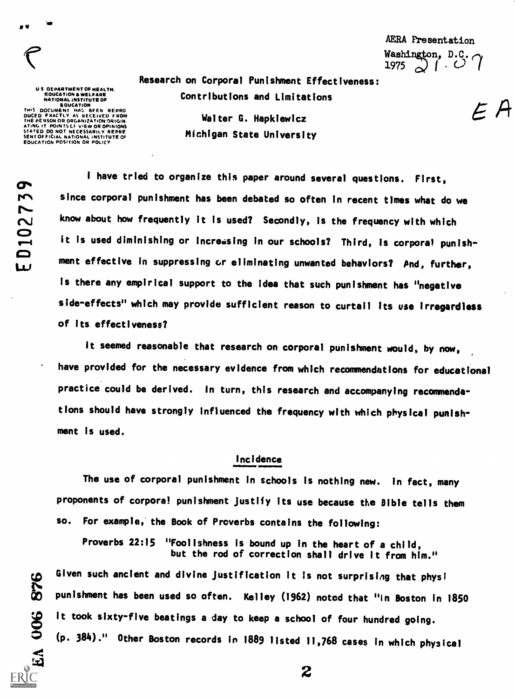e version and a series of the series of the series of the series of the series of the series of the series of <br>The series of the series of the series of the series of the series of the series of the series of the series o

US OEPARTMENT OF HEALTH.<br>
SOUCATION & WELFARE<br>
NATIONAL INSTITUTE OF<br>
EOUCATION<br>
THIS DOCUMENT HAS BEEN REPRO<br>
DUCED FXACTLY AS RECEIVED FROM<br>
THE PERSON OR ORGANIZATION ORIGIN<br>
ATING IT POINTS CF VIEW OR OPINIONS<br>
SENTOFF

AERA Presentation Washington,  $D.C.$  $1975$   $\bigcirc$   $\bigcirc$ 

Research on Corporal Punishment Effectiveness: Contributions and Limitations

> Walter G. Hapkiewicz Michigan State University

 $\sigma$ D<sub>10273</sub>

EA OOS

<sup>I</sup> have tried to organize this paper around several questions. First, since corporal punishment has been debated so often in recent times what do we know about how frequently it is used? Secondly, is the frequency with which  $\bullet$  is i.e.. r-4 it is used diminishing or increasing in our schools? Third, is corporal punishment effective in suppressing or eliminating unwanted behaviors? And, further, is there any empirical support to the idea that such punishment has "negative side-effects" which may provide sufficient reason to curtail its use irregardless of its effectiveness?

It seemed reasonable that research on corporal punishment would, by now, have provided for the necessary evidence from which recommendations for educational practice could be derived. In turn, this research and accompanying recommendations should have strongly influenced the frequency with which physical punishment is used.

# Incidence

The use of corporal punishment in schools is nothing new. In fact, many proponents of corporal punishment Justify its use because the Bible tells them so. For example, the Book of Proverbs contains the following:

Proverbs 22:15 "Foolishness is bound up in the heart of a child, but the rod of correction shall drive it from him."

Given such ancient and divine justification it is not surprising that physical physical physical physical punishment has been used so often. Kelley (1962) noted that "In Boston in s <sup>010</sup> punishment has been used so often. Kelley (1962) noted that "in Boston in 1850 8 it took sixty-five beatings a day to keep a school of four hundred going. (p. 384)." Other Boston records in 1889 listed 11,768 cases in which physical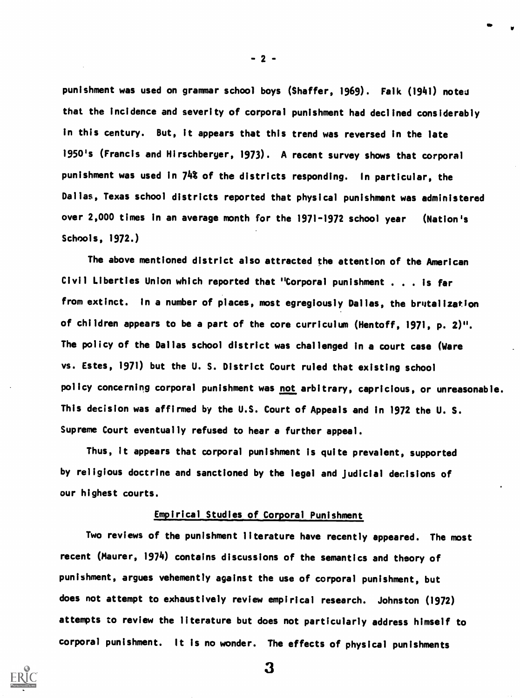punishment was used on grammar school boys (Shaffer, 1969). Falk (1941) noted that the incidence and severity of corporal punishment had declined considerably in this century. But, it appears that this trend was reversed in the late 1950's (Francis and Hirschberger, 1973). A recent survey shows that corporal punishment was used in 74% of the districts responding. In particular, the Dallas, Texas school districts reported that physical punishment was administered over 2,000 times in an average month for the 1971-1972 school year (Nation's Schools, 1972.)

The above mentioned district also attracted the attention of the American Civil Liberties Union which reported that "Corporal punishment . . . is far from extinct. In a number of places, most egregiously Dallas, the brutalization of children appears to be a part of the core curriculum (Hentoff, 1971, p. 2)". The policy of the Dallas school district was challenged in a court case (Ware vs. Estes, 1971) but the U. S. District Court ruled that existing school policy concerning corporal punishment was not arbitrary, capricious, or unreasonable. This decision was affirmed by the U.S. Court of Appeals and in 1972 the U. S. Supreme Court eventually refused to hear a further appeal.

Thus, it appears that corporal punishment is quite prevalent, supported by religious doctrine and sanctioned by the legal and Judicial decisions of our highest courts.

### Empirical Studies of Corporal Punishment

Two reviews of the punishment literature have recently appeared. The most recent (Maurer, 1974) contains discussions of the semantics and theory of punishment, argues vehemently against the use of corporal punishment, but does not attempt to exhaustively review empirical research. Johnston (1972) attempts to review the literature but does not particularly address himself to corporal punishment. It is no wonder. The effects of physical punishments

3

 $-2 -$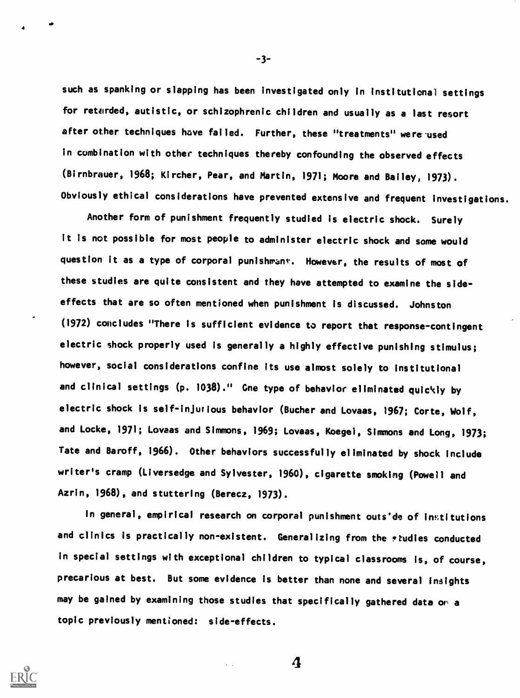such as spanking or slapping has been investigated only in institutional settings for retarded, autistic, or schizophrenic children and usually as a last resort after other techniques have failed. Further, these "treatments" were used in combination with other techniques thereby confounding the observed effects (Birnbrauer, 1968; Kircher, Pear, and Martin, 1971; Moore and Bailey, 1973). Obviously ethical considerations have prevented extensive and frequent investigations.

Another form of punishment frequently studied is electric shock. Surely it is not possible for most people to administer electric shock and some would question it as a type of corporal punishmant. However, the results of most of these studies are quite consistent and they have attempted to examine the sideeffects that are so often mentioned when punishment Is discussed. Johnston (1972) concludes "There is sufficient evidence to report that response-contingent electric shock properly used is generally a highly effective punishing stimulus; however, social considerations confine its use almost solely to institutional and clinical settings (p. 1038)." Gne type of behavior eliminated quickly by electric shock is self-injurious behavior (Bucher and Lovaas, 1967; Corte, Wolf, and Locke, 1971; Lovaas and Simmons, 1969; Lovaas, Koegel, Simmons and Long, 1973; Tate and Baroff, 1966). Other behaviors successfully eliminated by shock include writer's cramp (Liversedge and Sylvester, 1960), cigarette smoking (Powell and Azrin, 1968), and stuttering (Berecz, 1973).

In general, empirical research on corporal punishment outs'de of institutions and clinics is practically non-existent. Generalizing from the studies conducted in special settings with exceptional children to typical classrooms is, of course, precarious at best. But some evidence is better than none and several insights may be gained by examining those studies that specifically gathered data or a topic previously mentioned: side-effects.



-3-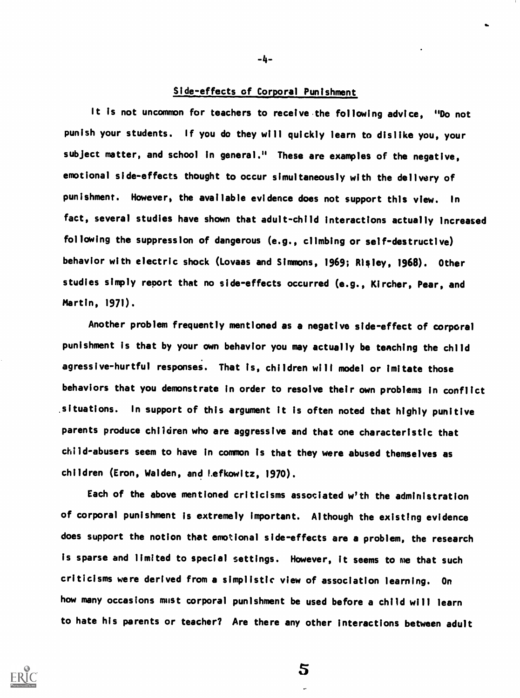# Side-effects of Corporal Punishment

It is not uncommon for teachers to receive the following advice, "Do not punish your students. If you do they will quickly learn to dislike you, your subject matter, and school in general." These are examples of the negative, emotional side-effects thought to occur simultaneously with the delivery of punishment. However, the available evidence does not support this view. In fact, several studies have shown that adult-child interactions actually increased following the suppression of dangerous (e.g., climbing or self-destructive) behavior with electric shock (Lovaas and Simmons, 1969; Risley, 1968). Other studies simply report that no side-effects occurred (e.g., Kircher, Pear, and Martin, 1971).

Another problem frequently mentioned as a negative side-effect of corporal punishment is that by your own behavior you may actually be teaching the child agressive-hurtful responses. That is, children will model or imitate those behaviors that you demonstrate in order to resolve their own problems in conflict .situations. In support of this argument it is often noted that highly punitive parents produce children who are aggressive and that one characteristic that child-abusers seem to have in common is that they were abused themselves as children (Eron, Walden, and Lefkowitz, 1970).

Each of the above mentioned criticisms associated w'th the administration of corporal punishment is extremely important. Although the existing evidence does support the notion that emotional side-effects are a problem, the research is sparse and limited to special settings. However, it seems to me that such criticisms were derived from a simplistic view of association learning. On how many occasions must corporal punishment be used before a child will learn to hate his parents or teacher? Are there any other interactions between adult

5

-4-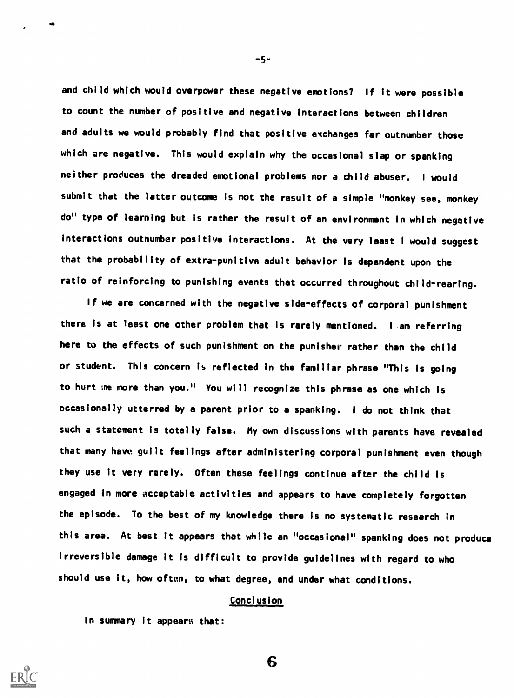and child which would overpower these negative emotions? If it were possible to count the number of positive and negative interactions between children and adults we would probably find that positive exchanges far outnumber those which are negative. This would explain why the occasional slap or spanking neither produces the dreaded emotional problems nor a child abuser. I would submit that the latter outcome is not the result of a simple "monkey see, monkey do" type of learning but is rather the result of an environment in which negative interactions outnumber positive interactions. At the very least I would suggest that the probability of extra-punitive adult behavior is dependent upon the ratio of reinforcing to punishing events that occurred throughout child-rearing.

If we are concerned with the negative side-effects of corporal punishment there is at least one other problem that is rarely mentioned. <sup>I</sup> am referring here to the effects of such punishment on the punisher rather than the child or student. This concern is reflected in the familiar phrase "This is going to hurt me more than you." You will recognize this phrase as one which is occasionally utterred by a parent prior to a spanking. <sup>I</sup> do not think that such a statement is totally false. My own discussions with parents have revealed that many have guilt feelings after administering corporal punishment even though they use it very rarely. Often these feelings continue after the child Is engaged in more acceptable activities and appears to have completely forgotten the episode. To the best of my knowledge there is no systematic research in this area. At best it appears that while an "occasional" spanking does not produce irreversible damage it is difficult to provide guidelines with regard to who should use it, how often, to what degree, and under what conditions.

### Conclusion

6

In summary it appears that:

 $-5-$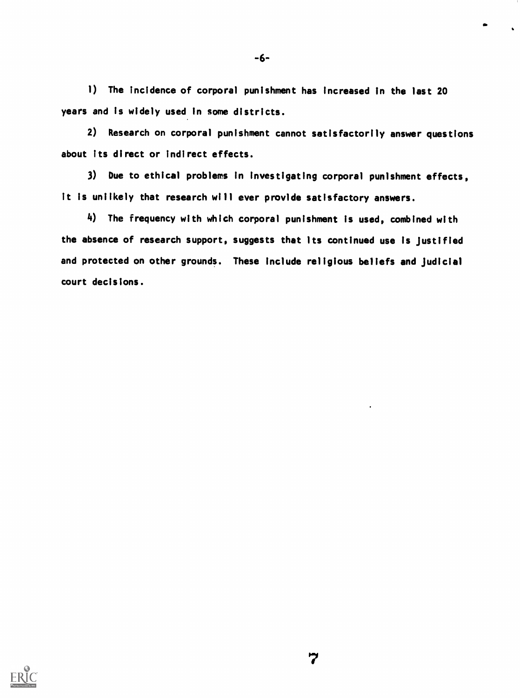1) The incidence of corporal punishment has increased in the last 20 years and is widely used In some districts.

-6-

2) Research on corporal punishment cannot satisfactorily answer questions about its direct or indirect effects.

3) Due to ethical problems in investigating corporal punishment effects, it is unlikely that research will ever provide satisfactory answers.

4) The frequency with which corporal punishment is used, combined with the absence of research support, suggests that its continued use is justified and protected on other grounds. These include religious beliefs and Judicial court decisions.

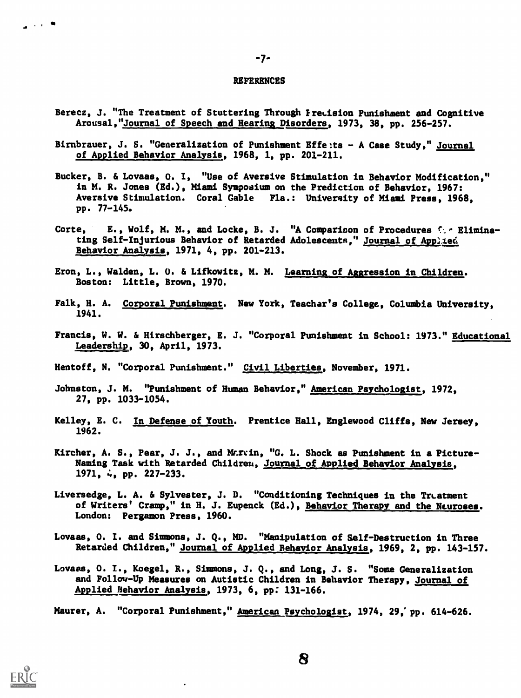#### REFERENCES

.7.

- Berecz, J. "The Treatment of Stuttering Through Freeision Punishment and Cognitive Arousal,"Journal of Speech and Hearing Disorders, 1973, 38, pp. 256-257.
- Birnbrauer, J. S. "Generalization of Punishment Effe:ts A Case Study," Journal of Applied Behavior Analysis, 1968, 1, pp. 201-211.
- Bucker, B. & Lovaas, 0. I, "Use of Aversive Stimulation in Behavior Modification," in M. R. Jones (Ed.), Miami Symposium on the Prediction of Behavior, 1967: Aversive Stimulation. Coral Gable Fla.: University of Miami Press, 1968, pp. 77-145.
- Corte, E., Wolf, M. M., and Locke, B. J. "A Comparison of Procedures  $f:$  Eliminating Self-Injurious Behavior of Retarded Adolescents," Journal of Applied Behavior Analysis, 1971, 4, pp. 201-213.
- Eron, L., Walden, L. 0. & Lifkowitz, M. M. Learning of Aggression in Children. Boston: Little, Brown, 1970.
- Falk, H. A. Corporal Punishment. New York, Teacher's College, Columbia University, 1941.
- Francis, W. W. & Hirschberger, E. J. "Corporal Punishment in School: 1973." Educational Leadership, 30, April, 1973.
- Hentoff, N. "Corporal Punishment." Civil Liberties, November, 1971.
- Johnston, J. M. "Punishment of Human Behavior," American Psychologist, 1972, 27, pp. 1033-1054.
- Kelley, E. C. In Defense of Youth. Prentice Hall, Englewood Cliffs, New Jersey, 1962.
- Kircher, A. S., Pear, J. J., and M.r.in, "G. L. Shock as Punishment in a Picture-Naming Task with Retarded Children, Journal of Applied Behavior Analysis, 1971, 4, pp. 227-233.
- Liversedge, L. A. & Sylvester, J. D. "Conditioning Techniques in the Treatment of Writers' Cramp," in H. J. Eupenck (Ed.), Behavior Therapy and the Neuroses. London: Pergamon Press, 1960.
- Lovaas, 0. I. and Simmons, J. Q., MD. "Manipulation of Self-Destruction in Three Retarded Children," Journal of Applied Behavior Analysis, 1969, 2, pp. 143-157.
- Lovaas, 0. I., Koegel, R., Simmons, J. Q., and Long, J. S. "Some Generalization and Follov-Up Measures on Autistic Children in Behavior Therapy, Journal of Applied Behavior Analysis, 1973, 6, pp; 131-166.

Maurer, A. "Corporal Punishment," American Psychologist, 1974, 29; pp. 614-626.



\_\_\_\_\_